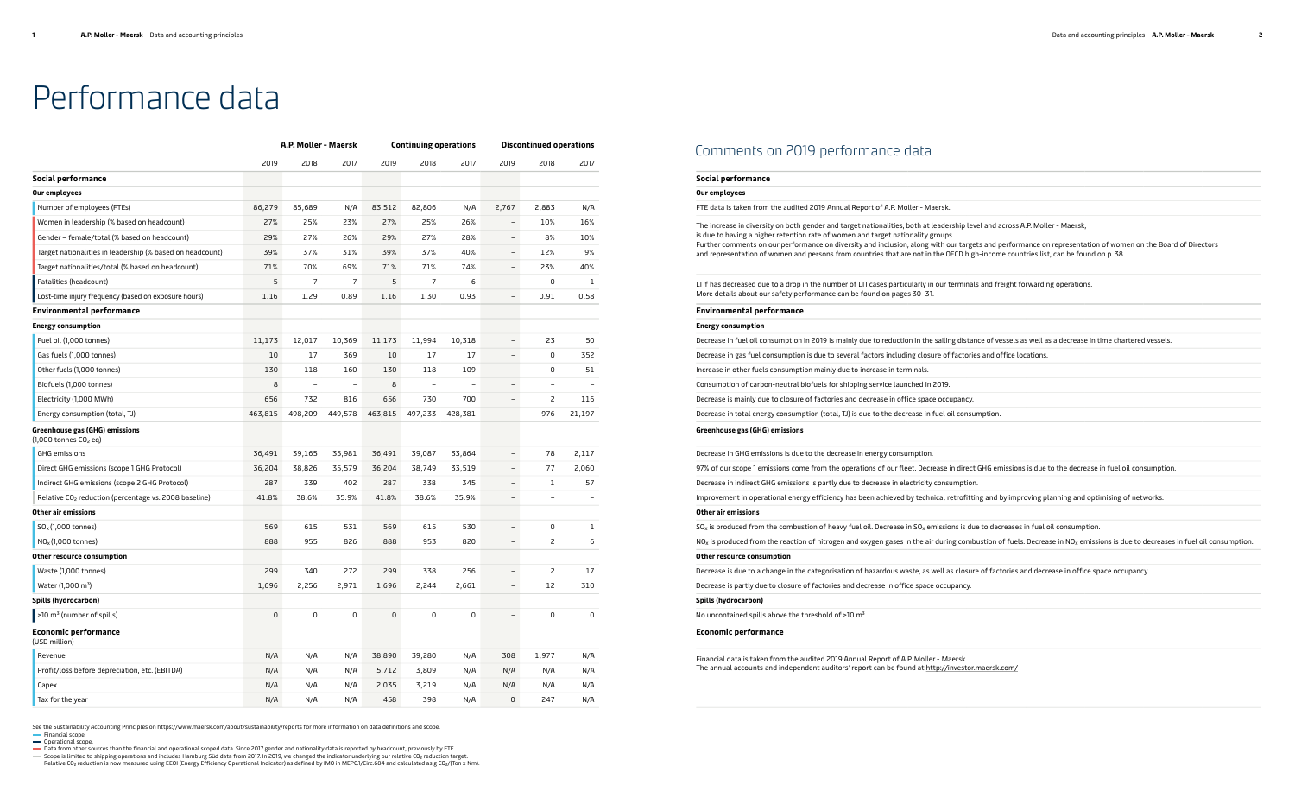## Comments on 2019 performance data

See the Sustainability Accounting Principles on https://www.maersk.com/about/sustainability/reports for more information on data definitions and scope. Financial scope.

**Operational scope.** 

Data from other sources than the financial and operational scoped data. Since 2017 gender and nationality data is reported by headcount, previously by FTE.<br>Scope is limited to shipping operations and includes Hamburg Süd d

#### **Social performance**

#### **Our employees**

| Our employees                                                                                                                                                                                                                                                                                                                                                                                                                                                                                                         |
|-----------------------------------------------------------------------------------------------------------------------------------------------------------------------------------------------------------------------------------------------------------------------------------------------------------------------------------------------------------------------------------------------------------------------------------------------------------------------------------------------------------------------|
| FTE data is taken from the audited 2019 Annual Report of A.P. Moller - Maersk.                                                                                                                                                                                                                                                                                                                                                                                                                                        |
| The increase in diversity on both gender and target nationalities, both at leadership level and across A.P. Moller - Maersk,<br>is due to having a higher retention rate of women and target nationality groups.<br>Further comments on our performance on diversity and inclusion, along with our targets and performance on representation of women on the Board of Directors<br>and representation of women and persons from countries that are not in the OECD high-income countries list, can be found on p. 38. |
| LTIf has decreased due to a drop in the number of LTI cases particularly in our terminals and freight forwarding operations.<br>More details about our safety performance can be found on pages 30-31.                                                                                                                                                                                                                                                                                                                |
| <b>Environmental performance</b>                                                                                                                                                                                                                                                                                                                                                                                                                                                                                      |
| <b>Energy consumption</b>                                                                                                                                                                                                                                                                                                                                                                                                                                                                                             |
| Decrease in fuel oil consumption in 2019 is mainly due to reduction in the sailing distance of vessels as well as a decrease in time chartered vessels.                                                                                                                                                                                                                                                                                                                                                               |
| Decrease in gas fuel consumption is due to several factors including closure of factories and office locations.                                                                                                                                                                                                                                                                                                                                                                                                       |
| Increase in other fuels consumption mainly due to increase in terminals.                                                                                                                                                                                                                                                                                                                                                                                                                                              |
| Consumption of carbon-neutral biofuels for shipping service launched in 2019.                                                                                                                                                                                                                                                                                                                                                                                                                                         |
| Decrease is mainly due to closure of factories and decrease in office space occupancy.                                                                                                                                                                                                                                                                                                                                                                                                                                |
| Decrease in total energy consumption (total, TJ) is due to the decrease in fuel oil consumption.                                                                                                                                                                                                                                                                                                                                                                                                                      |
| Greenhouse gas (GHG) emissions                                                                                                                                                                                                                                                                                                                                                                                                                                                                                        |
| Decrease in GHG emissions is due to the decrease in energy consumption.                                                                                                                                                                                                                                                                                                                                                                                                                                               |
| 97% of our scope 1 emissions come from the operations of our fleet. Decrease in direct GHG emissions is due to the decrease in fuel oil consumption.                                                                                                                                                                                                                                                                                                                                                                  |
| Decrease in indirect GHG emissions is partly due to decrease in electricity consumption.                                                                                                                                                                                                                                                                                                                                                                                                                              |
| Improvement in operational energy efficiency has been achieved by technical retrofitting and by improving planning and optimising of networks.                                                                                                                                                                                                                                                                                                                                                                        |
| Other air emissions                                                                                                                                                                                                                                                                                                                                                                                                                                                                                                   |
| $SOx$ is produced from the combustion of heavy fuel oil. Decrease in $SOx$ emissions is due to decreases in fuel oil consumption.                                                                                                                                                                                                                                                                                                                                                                                     |
| NO <sub>X</sub> is produced from the reaction of nitrogen and oxygen gases in the air during combustion of fuels. Decrease in NO <sub>X</sub> emissions is due to decreases in fuel oil consumption.                                                                                                                                                                                                                                                                                                                  |
| Other resource consumption                                                                                                                                                                                                                                                                                                                                                                                                                                                                                            |
| Decrease is due to a change in the categorisation of hazardous waste, as well as closure of factories and decrease in office space occupancy.                                                                                                                                                                                                                                                                                                                                                                         |
| Decrease is partly due to closure of factories and decrease in office space occupancy.                                                                                                                                                                                                                                                                                                                                                                                                                                |
| Spills (hydrocarbon)                                                                                                                                                                                                                                                                                                                                                                                                                                                                                                  |
| No uncontained spills above the threshold of >10 m <sup>3</sup> .                                                                                                                                                                                                                                                                                                                                                                                                                                                     |

#### **Environmental performance**

#### **Energy consumption**

Financial data is taken from the audited 2019 Annual Report of A.P. Moller - Maersk. The annual accounts and independent auditors' report can be found at http://investor.maersk.com/

| Decrease in fuel oil consumption in 2019 is mainly due to reduction in the sailing distance of vessels as well a |
|------------------------------------------------------------------------------------------------------------------|
| Decrease in gas fuel consumption is due to several factors including closure of factories and office locations.  |
| Increase in other fuels consumption mainly due to increase in terminals.                                         |
| Consumption of carbon-neutral biofuels for shipping service launched in 2019.                                    |
| Decrease is mainly due to closure of factories and decrease in office space occupancy.                           |
| Decrease in total energy consumption (total, TJ) is due to the decrease in fuel oil consumption.                 |
|                                                                                                                  |

### **Greenhouse gas (GHG) emissions**

| Decrease in GHG emissions is due to the decrease in energy consumption.                                                                                                  |
|--------------------------------------------------------------------------------------------------------------------------------------------------------------------------|
| 97% of our scope 1 emissions come from the operations of our fleet. Decrease in direct GHG emissions is due to the decrease in fuel oil consump                          |
| Decrease in indirect GHG emissions is partly due to decrease in electricity consumption.                                                                                 |
| Improvement in operational energy efficiency has been achieved by technical retrofitting and by improving planning and optimising of networks                            |
| Other air emissions                                                                                                                                                      |
| $SOx$ is produced from the combustion of heavy fuel oil. Decrease in $SOx$ emissions is due to decreases in fuel oil consumption.                                        |
| NO <sub>x</sub> is produced from the reaction of nitrogen and oxygen gases in the air during combustion of fuels. Decrease in NO <sub>x</sub> emissions is due to decrea |
| Other recource consumption                                                                                                                                               |

#### **Other resource consumption**

#### **Spills (hydrocarbon)**

#### **Economic performance**

# Performance data

|                                                                   | A.P. Moller - Maersk |                          |                | <b>Continuing operations</b> |                          |         | <b>Discontinued operations</b> |                          |              |
|-------------------------------------------------------------------|----------------------|--------------------------|----------------|------------------------------|--------------------------|---------|--------------------------------|--------------------------|--------------|
|                                                                   | 2019                 | 2018                     | 2017           | 2019                         | 2018                     | 2017    | 2019                           | 2018                     | 2017         |
| Social performance                                                |                      |                          |                |                              |                          |         |                                |                          |              |
| Our employees                                                     |                      |                          |                |                              |                          |         |                                |                          |              |
| Number of employees (FTEs)                                        | 86,279               | 85,689                   | N/A            | 83,512                       | 82,806                   | N/A     | 2,767                          | 2,883                    | N/A          |
| Women in leadership (% based on headcount)                        | 27%                  | 25%                      | 23%            | 27%                          | 25%                      | 26%     | $\overline{\phantom{a}}$       | 10%                      | 16%          |
| Gender - female/total (% based on headcount)                      | 29%                  | 27%                      | 26%            | 29%                          | 27%                      | 28%     | $\overline{\phantom{0}}$       | 8%                       | 10%          |
| Target nationalities in leadership (% based on headcount)         | 39%                  | 37%                      | 31%            | 39%                          | 37%                      | 40%     | $\overline{\phantom{a}}$       | 12%                      | 9%           |
| Target nationalities/total (% based on headcount)                 | 71%                  | 70%                      | 69%            | 71%                          | 71%                      | 74%     | $\overline{\phantom{a}}$       | 23%                      | 40%          |
| Fatalities (headcount)                                            | 5                    | $\overline{7}$           | $\overline{7}$ | 5                            | 7                        | 6       | $\overline{\phantom{a}}$       | 0                        | $1\,$        |
| Lost-time injury frequency (based on exposure hours)              | 1.16                 | 1.29                     | 0.89           | 1.16                         | 1.30                     | 0.93    | $\qquad \qquad -$              | 0.91                     | 0.58         |
| Environmental performance                                         |                      |                          |                |                              |                          |         |                                |                          |              |
| <b>Energy consumption</b>                                         |                      |                          |                |                              |                          |         |                                |                          |              |
| Fuel oil (1,000 tonnes)                                           | 11,173               | 12,017                   | 10,369         | 11,173                       | 11,994                   | 10,318  | $\overline{\phantom{0}}$       | 23                       | 50           |
| Gas fuels (1,000 tonnes)                                          | 10                   | 17                       | 369            | 10                           | 17                       | 17      | $\overline{\phantom{a}}$       | 0                        | 352          |
| Other fuels (1,000 tonnes)                                        | 130                  | 118                      | 160            | 130                          | 118                      | 109     | $\qquad \qquad -$              | 0                        | 51           |
| Biofuels (1,000 tonnes)                                           | 8                    | $\overline{\phantom{a}}$ |                | 8                            | $\overline{\phantom{a}}$ |         | $\overline{\phantom{0}}$       | $\overline{\phantom{0}}$ |              |
| Electricity (1,000 MWh)                                           | 656                  | 732                      | 816            | 656                          | 730                      | 700     | $\overline{\phantom{a}}$       | 2                        | 116          |
| Energy consumption (total, TJ)                                    | 463,815              | 498,209                  | 449,578        | 463,815                      | 497,233                  | 428,381 | $\overline{\phantom{a}}$       | 976                      | 21,197       |
| Greenhouse gas (GHG) emissions<br>$(1,000$ tonnes $CO2$ eq)       |                      |                          |                |                              |                          |         |                                |                          |              |
| GHG emissions                                                     | 36,491               | 39,165                   | 35,981         | 36,491                       | 39,087                   | 33,864  | $\overline{\phantom{a}}$       | 78                       | 2,117        |
| Direct GHG emissions (scope 1 GHG Protocol)                       | 36,204               | 38,826                   | 35,579         | 36,204                       | 38,749                   | 33,519  | $\overline{\phantom{a}}$       | 77                       | 2,060        |
| Indirect GHG emissions (scope 2 GHG Protocol)                     | 287                  | 339                      | 402            | 287                          | 338                      | 345     | $\overline{\phantom{a}}$       | 1                        | 57           |
| Relative CO <sub>2</sub> reduction (percentage vs. 2008 baseline) | 41.8%                | 38.6%                    | 35.9%          | 41.8%                        | 38.6%                    | 35.9%   | $\overline{\phantom{0}}$       |                          |              |
| Other air emissions                                               |                      |                          |                |                              |                          |         |                                |                          |              |
| $SOx$ (1,000 tonnes)                                              | 569                  | 615                      | 531            | 569                          | 615                      | 530     | $\overline{\phantom{0}}$       | 0                        | $\mathbf{1}$ |
| $NOx(1,000$ tonnes)                                               | 888                  | 955                      | 826            | 888                          | 953                      | 820     | $\overline{\phantom{0}}$       | 2                        | 6            |
| Other resource consumption                                        |                      |                          |                |                              |                          |         |                                |                          |              |
| Waste (1,000 tonnes)                                              | 299                  | 340                      | 272            | 299                          | 338                      | 256     | $\qquad \qquad -$              | 2                        | 17           |
| Water (1,000 m <sup>3</sup> )                                     | 1,696                | 2,256                    | 2,971          | 1,696                        | 2,244                    | 2,661   | $\qquad \qquad -$              | 12                       | 310          |
| Spills (hydrocarbon)                                              |                      |                          |                |                              |                          |         |                                |                          |              |
| >10 m <sup>3</sup> (number of spills)                             | 0                    | $\mathsf 0$              | 0              | 0                            | 0                        | 0       |                                | $\mathsf 0$              | 0            |
| <b>Economic performance</b><br>(USD million)                      |                      |                          |                |                              |                          |         |                                |                          |              |
| Revenue                                                           | N/A                  | N/A                      | N/A            | 38,890                       | 39,280                   | N/A     | 308                            | 1,977                    | N/A          |
| Profit/loss before depreciation, etc. (EBITDA)                    | N/A                  | N/A                      | N/A            | 5,712                        | 3,809                    | N/A     | N/A                            | N/A                      | N/A          |
| Capex                                                             | N/A                  | N/A                      | N/A            | 2,035                        | 3,219                    | N/A     | N/A                            | N/A                      | N/A          |
| Tax for the year                                                  | N/A                  | N/A                      | N/A            | 458                          | 398                      | N/A     | $\mathsf{O}$                   | 247                      | N/A          |